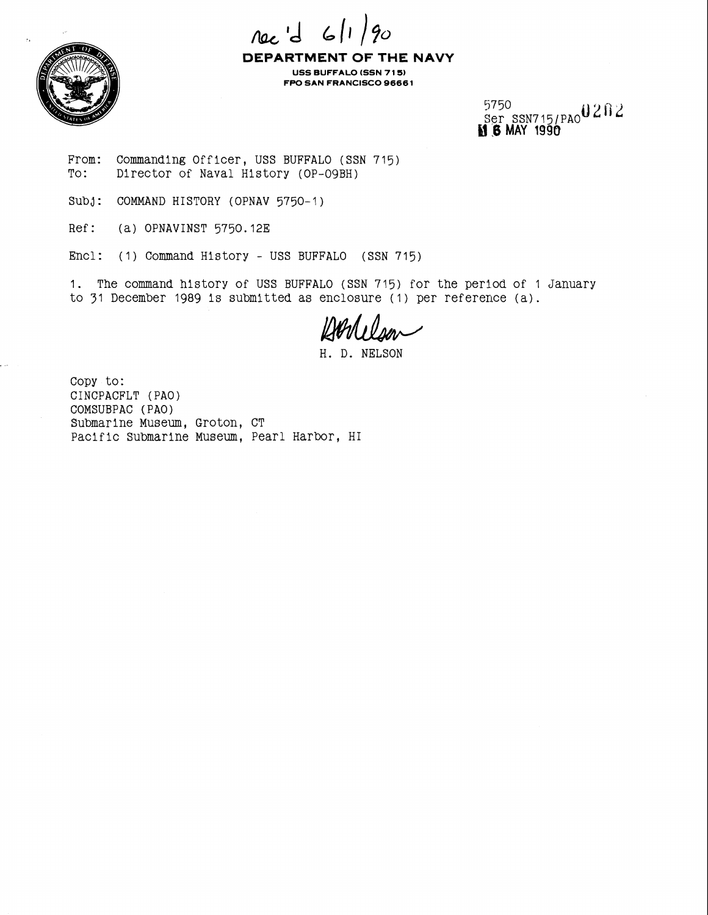

nec 'd 6/1 **DEPARTMENT OF THE NAVY** 

**USS BUFFALO (SSN 7 1 5) FPO SAN FRANCISCO 9666 1** 

> 5750<br>Ser ssn715/PA0020; **El .6 MAY 1990**

From: Commanding Officer, USS BUFFALO (SSN 715)<br>To: Director of Naval History (OP-09BH) Director of Naval History (OP-09BH)

Subj: COMMAND HISTORY (OPNAV 5750-1)

Ref: (a) OPNAVINST 5750.12E

Encl: (1) Command History - USS BUFFALO (SSN 715)

1. The command history of USS BUFFALO (SSN 715) for the period of 1 January to 31 December 1989 is submitted as enclosure (1) per reference (a).

H. D. NELSON

Copy to: CINCPACFLT (PAO) COMSUBPAC (PAO) Submarine Museum, Groton, CT Pacific Submarine Museum, Pearl Harbor, HI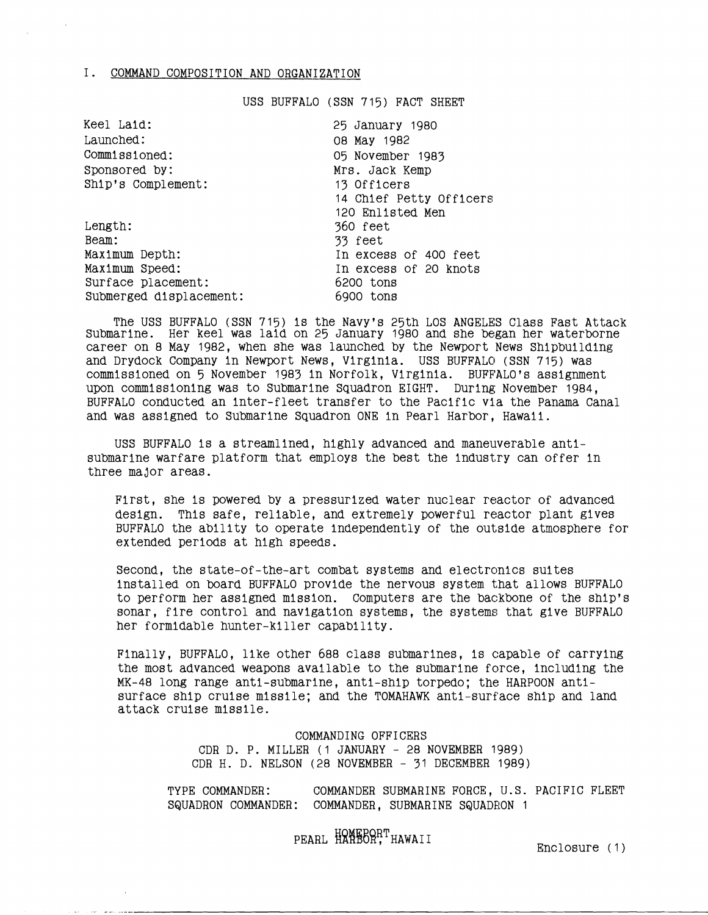## I. COMMAND COMPOSITION AND ORGANIZATION

USS BUFFALO (SSN 715) FACT SHEET

| Keel Laid:              | 25 January 1980         |
|-------------------------|-------------------------|
| Launched:               | 08 May 1982             |
| Commissioned:           | 05 November 1983        |
| Sponsored by:           | Mrs. Jack Kemp          |
| Ship's Complement:      | 13 Officers             |
|                         | 14 Chief Petty Officers |
|                         | 120 Enlisted Men        |
| Length:                 | 360 feet                |
| Beam:                   | 33 feet                 |
| Maximum Depth:          | In excess of 400 feet   |
| Maximum Speed:          | In excess of 20 knots   |
| Surface placement:      | 6200 tons               |
| Submerged displacement: | 6900 tons               |

The USS BUFFALO (SSN 715) is the Navy's 25th LOS ANGELES Class Fast Attack Submarine. Her keel was laid on 25 January 1980 and she began her waterborne career on 8 May 1982, when she was launched by the Newport News Shipbuilding and Drydock Company in Newport News, Virginia. USS BUFFALO (SSN 715) was commissioned on 5 November 1983 in Norfolk, Virginia. BUFFALO'S assignment upon commissioning was to Submarine Squadron EIGHT. During November 1984, BUFFALO conducted an inter-fleet transfer to the Pacific vla the Panama Canal and was assigned to Submarine Squadron ONE in Pearl Harbor, Hawaii.

USS BUFFALO is a streamlined, highly advanced and maneuverable antisubmarine warfare platform that employs the best the industry can offer in three major areas.

First, she is powered by a pressurized water nuclear reactor of advanced design. This safe, reliable, and extremely powerful reactor plant gives BUFFALO the ability to operate Independently of the outside atmosphere for extended periods at high speeds.

Second, the state-of-the-art combat systems and electronics suites installed on board BUFFALO provide the nervous system that allows BUFFALO to perform her assigned mission. Computers are the backbone of the ship's sonar, fire control and navigation systems, the systems that give BUFFALO her formidable hunter-killer capability.

Finally, BUFFALO, llke other 688 class submarines, is capable of carrying the most advanced weapons available to the submarine force, including the MK-48 long range anti-submarine, anti-ship torpedo; the HARPOON antisurface ship cruise missile; and the TOMAHAWK anti-surface ship and land attack cruise missile.

> COMMANDING OFFICERS CDR D. P. MILLER (1 JANUARY - 28 NOVEMBER 1989) CDR H. D. NELSON (28 NOVEMBER - 31 DECEMBER 1989)

TYPE COMMANDER: COMMANDER SUBMARINE FORCE, U.S. PACIFIC FLEET SQUADRON COMMANDER: COMMANDER, SUBMARINE SQUADRON 1

PEARL HANEBORT HAWAII

Enclosure (1)